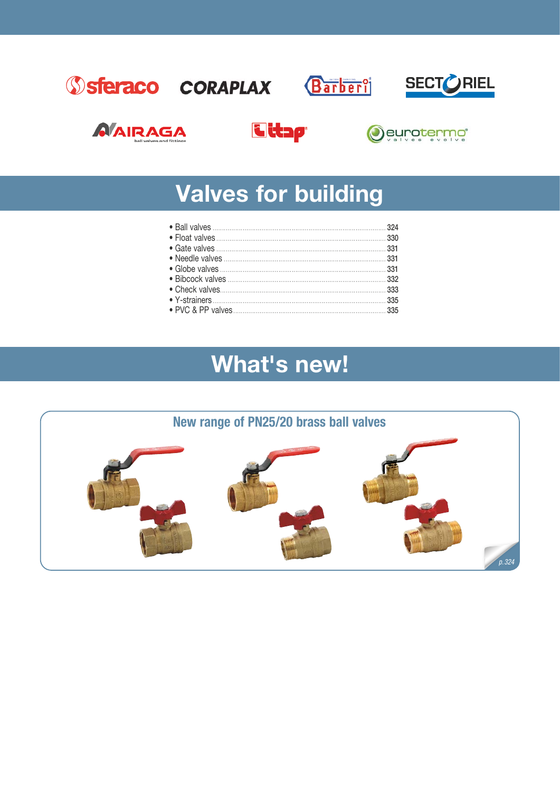











# **Valves for building**

# What's new!

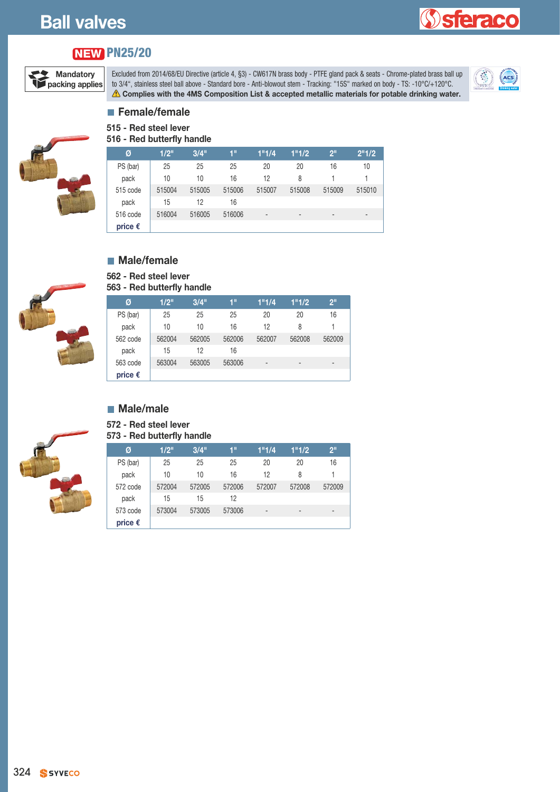# **Ball valves**

# **Sieraco**

# **PN25/20 NEW**



Excluded from 2014/68/EU Directive (article 4, §3) - CW617N brass body - PTFE gland pack & seats - Chrome-plated brass ball up to 3/4", stainless steel ball above - Standard bore - Anti-blowout stem - Tracking: "15S" marked on body - TS: -10°C/+120°C. **Complies with the 4MS Composition List & accepted metallic materials for potable drinking water.**<br> **A** Complies with the 4MS Composition List & accepted metallic materials for potable drinking water.



#### **Female/female 515 - Red steel lever**

**516 - Red butterfly handle**



| Ø                | 1/2"   | 3/4"   | 1"     | 1"1/4                    | 1"1/2  | 2 <sup>11</sup> | 2"1/2  |
|------------------|--------|--------|--------|--------------------------|--------|-----------------|--------|
| PS (bar)         | 25     | 25     | 25     | 20                       | 20     | 16              | 10     |
| pack             | 10     | 10     | 16     | 12                       | 8      |                 |        |
| 515 code         | 515004 | 515005 | 515006 | 515007                   | 515008 | 515009          | 515010 |
| pack             | 15     | 12     | 16     |                          |        |                 |        |
| 516 code         | 516004 | 516005 | 516006 | $\overline{\phantom{0}}$ | -      | $\overline{a}$  | -      |
| price $\epsilon$ |        |        |        |                          |        |                 |        |



# **Male/female**

**562 - Red steel lever**

#### **563 - Red butterfly handle**

| Ø                | 1/2"   | 3/4"   | 1"     | 1"1/4"                   | 1"1/2                    | 2 <sup>11</sup>          |
|------------------|--------|--------|--------|--------------------------|--------------------------|--------------------------|
| PS (bar)         | 25     | 25     | 25     | 20                       | 20                       | 16                       |
| pack             | 10     | 10     | 16     | 12                       | 8                        | 1                        |
| 562 code         | 562004 | 562005 | 562006 | 562007                   | 562008                   | 562009                   |
| pack             | 15     | 12     | 16     |                          |                          |                          |
| 563 code         | 563004 | 563005 | 563006 | $\overline{\phantom{0}}$ | $\overline{\phantom{0}}$ | $\overline{\phantom{a}}$ |
| price $\epsilon$ |        |        |        |                          |                          |                          |

#### **Male/male**

**572 - Red steel lever**

#### **573 - Red butterfly handle**



| Ø                | 1/2"   | 3/4"   | 1"     | 1"1/4          | 1"1/2                    | 2 <sup>11</sup>          |
|------------------|--------|--------|--------|----------------|--------------------------|--------------------------|
| PS (bar)         | 25     | 25     | 25     | 20             | 20                       | 16                       |
| pack             | 10     | 10     | 16     | 12             | 8                        |                          |
| 572 code         | 572004 | 572005 | 572006 | 572007         | 572008                   | 572009                   |
| pack             | 15     | 15     | 12     |                |                          |                          |
| 573 code         | 573004 | 573005 | 573006 | $\blacksquare$ | $\overline{\phantom{0}}$ | $\overline{\phantom{0}}$ |
| price $\epsilon$ |        |        |        |                |                          |                          |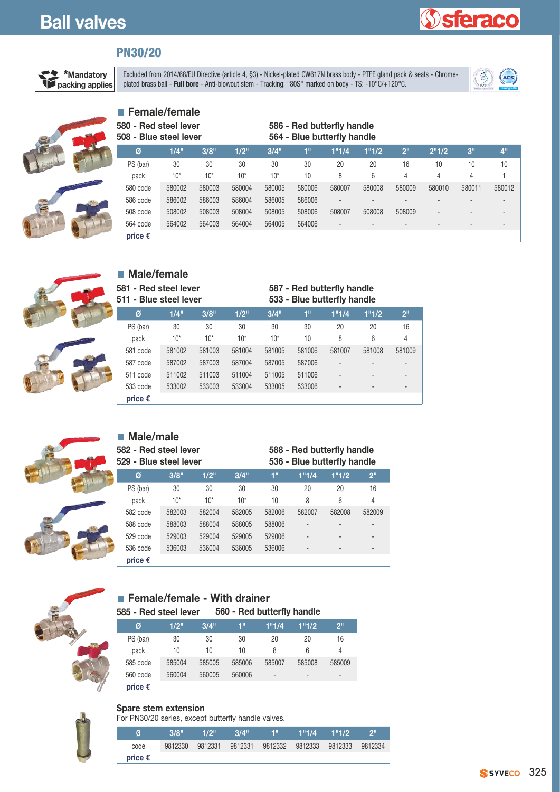# **STEIRCO**

# **PN30/20**

**Female/female**



Excluded from 2014/68/EU Directive (article 4, §3) - Nickel-plated CW617N brass body - PTFE gland pack & seats - Chromeplated brass ball - **Full bore** - Anti-blowout stem - Tracking: "80S" marked on body - PTFE gland pack & seats - Unrome-<br>plated brass ball - **Full bore** - Anti-blowout stem - Tracking: "80S" marked on body - TS: -10°C/+120





| 580 - Red steel lever<br>508 - Blue steel lever |        |        |        |        | 586 - Red butterfly handle<br>564 - Blue butterfly handle |        |        |                 |        |                 |                 |
|-------------------------------------------------|--------|--------|--------|--------|-----------------------------------------------------------|--------|--------|-----------------|--------|-----------------|-----------------|
| Ø                                               | 1/4"   | 3/8"   | 1/2"   | 3/4"   | 1"                                                        | 1"1/4  | 1"1/2  | 2 <sup>11</sup> | 2"1/2  | 3 <sup>11</sup> | 4 <sup>11</sup> |
| PS (bar)                                        | 30     | 30     | 30     | 30     | 30                                                        | 20     | 20     | 16              | 10     | 10              | 10              |
| pack                                            | $10*$  | $10*$  | $10*$  | $10*$  | 10                                                        | 8      | 6      | 4               | 4      | 4               |                 |
| 580 code                                        | 580002 | 580003 | 580004 | 580005 | 580006                                                    | 580007 | 580008 | 580009          | 580010 | 580011          | 580012          |
| 586 code                                        | 586002 | 586003 | 586004 | 586005 | 586006                                                    |        |        |                 |        |                 | -               |
| 508 code                                        | 508002 | 508003 | 508004 | 508005 | 508006                                                    | 508007 | 508008 | 508009          |        |                 | -               |
| 564 code                                        | 564002 | 564003 | 564004 | 564005 | 564006                                                    |        |        |                 |        |                 |                 |
| price $\epsilon$                                |        |        |        |        |                                                           |        |        |                 |        |                 |                 |



**Male/female 581 - Red steel lever 511 - Blue steel lever**

#### **587 - Red butterfly handle 533 - Blue butterfly handle**

| .                | וסעסו וסטופ אוש |        | <b>JUU - DIUG DULLGI IIV HAHUG</b> |        |        |                          |                          |                              |  |  |
|------------------|-----------------|--------|------------------------------------|--------|--------|--------------------------|--------------------------|------------------------------|--|--|
| Ø                | 1/4"            | 3/8"   | $1/2$ "                            | 3/4"   | 1"     | 1"1/4                    | 1"1/2                    | 2 <sup>11</sup>              |  |  |
| PS (bar)         | 30              | 30     | 30                                 | 30     | 30     | 20                       | 20                       | 16                           |  |  |
| pack             | $10*$           | $10*$  | $10*$                              | $10*$  | 10     | 8                        | 6                        | 4                            |  |  |
| 581 code         | 581002          | 581003 | 581004                             | 581005 | 581006 | 581007                   | 581008                   | 581009                       |  |  |
| 587 code         | 587002          | 587003 | 587004                             | 587005 | 587006 | $\overline{\phantom{0}}$ |                          | $\qquad \qquad \blacksquare$ |  |  |
| 511 code         | 511002          | 511003 | 511004                             | 511005 | 511006 | $\overline{\phantom{a}}$ | $\overline{\phantom{0}}$ | $\overline{\phantom{0}}$     |  |  |
| 533 code         | 533002          | 533003 | 533004                             | 533005 | 533006 |                          |                          | $\overline{\phantom{0}}$     |  |  |
| price $\epsilon$ |                 |        |                                    |        |        |                          |                          |                              |  |  |



#### **Male/male 582 - Red steel lever**

**529 - Blue steel lever**

#### **588 - Red butterfly handle 536 - Blue butterfly handle**

| Ø                | 3/8"   | 1/2"   | 3/4"   | 1"     | 1"1/4                    | 1"1/2                    | 2 <sup>11</sup>          |
|------------------|--------|--------|--------|--------|--------------------------|--------------------------|--------------------------|
| PS (bar)         | 30     | 30     | 30     | 30     | 20                       | 20                       | 16                       |
| pack             | $10*$  | $10*$  | $10*$  | 10     | 8                        | 6                        | 4                        |
| 582 code         | 582003 | 582004 | 582005 | 582006 | 582007                   | 582008                   | 582009                   |
| 588 code         | 588003 | 588004 | 588005 | 588006 |                          |                          |                          |
| 529 code         | 529003 | 529004 | 529005 | 529006 | $\overline{\phantom{0}}$ | $\overline{\phantom{0}}$ | $\overline{\phantom{0}}$ |
| 536 code         | 536003 | 536004 | 536005 | 536006 | $\overline{\phantom{a}}$ | $\overline{\phantom{0}}$ | $\overline{\phantom{0}}$ |
| price $\epsilon$ |        |        |        |        |                          |                          |                          |



#### **Female/female - With drainer 585 - Red steel lever 560 - Red butterfly handle**

| Ø                | 1/2"   | 3/4"   | 1"     | 1"1/4                        | 1"1/2                    | 2 <sup>11</sup>          |
|------------------|--------|--------|--------|------------------------------|--------------------------|--------------------------|
| PS (bar)         | 30     | 30     | 30     | 20                           | 20                       | 16                       |
| pack             | 10     | 10     | 10     | 8                            | 6                        | 4                        |
| 585 code         | 585004 | 585005 | 585006 | 585007                       | 585008                   | 585009                   |
| 560 code         | 560004 | 560005 | 560006 | $\qquad \qquad \blacksquare$ | $\overline{\phantom{0}}$ | $\overline{\phantom{a}}$ |
| price $\epsilon$ |        |        |        |                              |                          |                          |



#### **Spare stem extension**

For PN30/20 series, except butterfly handle valves.

| Ø                | 3/8"    | 1/2"    | 3/4"    | чш      | 1"1/4   | 1"1/2   | ייפ     |
|------------------|---------|---------|---------|---------|---------|---------|---------|
| code             | 9812330 | 9812331 | 9812331 | 9812332 | 9812333 | 9812333 | 9812334 |
| price $\epsilon$ |         |         |         |         |         |         |         |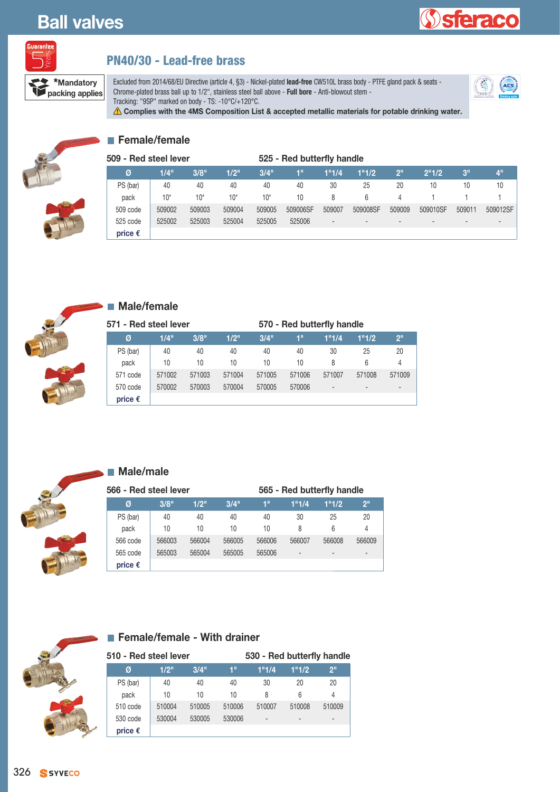# **Ball valves**

**packing applies** 





## **PN40/30 - Lead-free brass**

Excluded from 2014/68/EU Directive (article 4, §3) - Nickel-plated **lead-free** CW510L brass body - PTFE gland pack & seats - Chrome-plated brass ball up to 1/2", stainless steel ball above - **Full bore** - Anti-blowout stem - Tracking: "9SP" marked on body - TS: -10°C/+120°C.



**Complies with the 4MS Composition List & accepted metallic materials for potable drinking water.**



#### **Female/female**

| 509 - Red steel lever |        |        |         |        | 525 - Red butterfly handle |                |                          |                          |                          |                |                          |  |
|-----------------------|--------|--------|---------|--------|----------------------------|----------------|--------------------------|--------------------------|--------------------------|----------------|--------------------------|--|
| Ø                     | 1/4"   | 3/8"   | $1/2$ " | 3/4"   | 1"                         | 1"1/4          | 1"1/2                    | 2 <sup>11</sup>          | 2"1/2                    | 3"             | 4"                       |  |
| PS (bar)              | 40     | 40     | 40      | 40     | 40                         | 30             | 25                       | 20                       | 10                       | 10             | 10                       |  |
| pack                  | $10*$  | $10*$  | $10*$   | $10*$  | 10                         | 8              | 6                        | 4                        |                          |                |                          |  |
| 509 code              | 509002 | 509003 | 509004  | 509005 | 509006SF                   | 509007         | 509008SF                 | 509009                   | 509010SF                 | 509011         | 509012SF                 |  |
| 525 code              | 525002 | 525003 | 525004  | 525005 | 525006                     | $\overline{a}$ | $\overline{\phantom{a}}$ | $\overline{\phantom{0}}$ | $\overline{\phantom{a}}$ | $\overline{a}$ | $\overline{\phantom{0}}$ |  |
| price $\epsilon$      |        |        |         |        |                            |                |                          |                          |                          |                |                          |  |



#### **Male/female**

| 571 - Red steel lever |        |        |        |        | 570 - Red butterfly handle |        |                          |                          |
|-----------------------|--------|--------|--------|--------|----------------------------|--------|--------------------------|--------------------------|
| Ø                     | 1/4"   | 3/8"   | 1/2"   | 3/4"   | 1"                         | 1"1/4  | 1"1/2                    | 2 <sup>11</sup>          |
| PS (bar)              | 40     | 40     | 40     | 40     | 40                         | 30     | 25                       | 20                       |
| pack                  | 10     | 10     | 10     | 10     | 10                         | 8      | 6                        | 4                        |
| 571 code              | 571002 | 571003 | 571004 | 571005 | 571006                     | 571007 | 571008                   | 571009                   |
| 570 code              | 570002 | 570003 | 570004 | 570005 | 570006                     |        | $\overline{\phantom{0}}$ | $\overline{\phantom{0}}$ |
| price $\epsilon$      |        |        |        |        |                            |        |                          |                          |



#### **Male/male**

| 566 - Red steel lever |        |        |        | 565 - Red butterfly handle |                          |        |                          |  |  |
|-----------------------|--------|--------|--------|----------------------------|--------------------------|--------|--------------------------|--|--|
| Ø                     | 3/8"   | 1/2"   | 3/4"   | 1"                         | 1"1/4                    | 1"1/2  | 2 <sup>11</sup>          |  |  |
| PS (bar)              | 40     | 40     | 40     | 40                         | 30                       | 25     | 20                       |  |  |
| pack                  | 10     | 10     | 10     | 10                         | 8                        | 6      | 4                        |  |  |
| 566 code              | 566003 | 566004 | 566005 | 566006                     | 566007                   | 566008 | 566009                   |  |  |
| 565 code              | 565003 | 565004 | 565005 | 565006                     | $\overline{\phantom{0}}$ |        | $\overline{\phantom{0}}$ |  |  |
| price $\epsilon$      |        |        |        |                            |                          |        |                          |  |  |



#### **Female/female - With drainer**

| 510 - Red steel lever |        |        |        | 530 - Red butterfly handle |        |                 |  |
|-----------------------|--------|--------|--------|----------------------------|--------|-----------------|--|
| Ø                     | 1/2"   | 3/4"   | 1"     | 1"1/4                      | 1"1/2  | 2 <sup>11</sup> |  |
| PS (bar)              | 40     | 40     | 40     | 30                         | 20     | 20              |  |
| pack                  | 10     | 10     | 10     | 8                          | 6      | 4               |  |
| 510 code              | 510004 | 510005 | 510006 | 510007                     | 510008 | 510009          |  |
| 530 code              | 530004 | 530005 | 530006 | $\overline{a}$             |        |                 |  |
| price $\epsilon$      |        |        |        |                            |        |                 |  |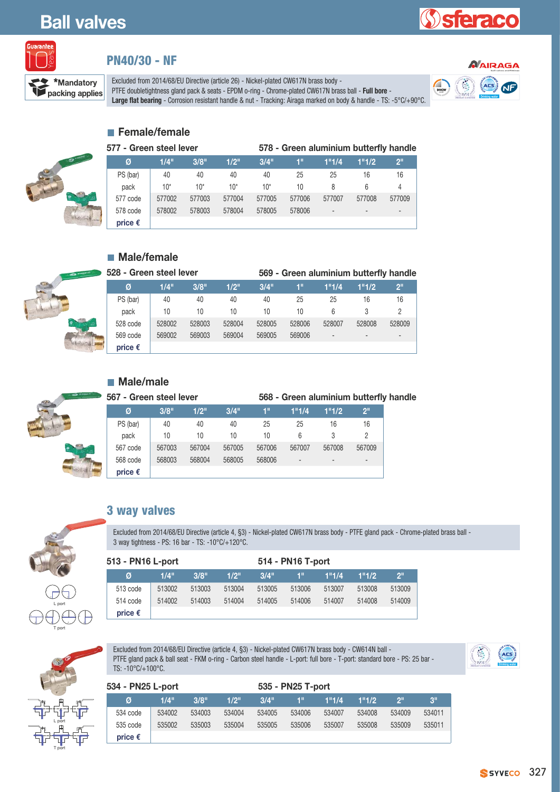# **Ball valves**

# eraco



#### **PN40/30 - NF**

Excluded from 2014/68/EU Directive (article 26) - Nickel-plated CW617N brass body **packing applies** PTFE doubletightness gland pack & seats - EPDM o-ring - Chrome-plated CW617N brass ball - **Full bore** - **Property of the Seats** of the property of the property of the property of the property of the prope Large flat bearing - Corrosion resistant handle & nut - Tracking: Airaga marked on body & handle - TS: -5°C/+90°C.



## **Female/female**

| 577 - Green steel lever |         |        |         |        | 578 - Green aluminium butterfly handle |                          |        |                 |  |
|-------------------------|---------|--------|---------|--------|----------------------------------------|--------------------------|--------|-----------------|--|
| Ø                       | $1/4$ " | 3/8"   | $1/2$ " | 3/4"   | 1"                                     | 1"1/4                    | 1"1/2  | 2 <sup>11</sup> |  |
| PS (bar)                | 40      | 40     | 40      | 40     | 25                                     | 25                       | 16     | 16              |  |
| pack                    | $10*$   | 10*    | $10*$   | $10*$  | 10                                     | 8                        | 6      | 4               |  |
| 577 code                | 577002  | 577003 | 577004  | 577005 | 577006                                 | 577007                   | 577008 | 577009          |  |
| 578 code                | 578002  | 578003 | 578004  | 578005 | 578006                                 | $\overline{\phantom{0}}$ |        |                 |  |
| price $\epsilon$        |         |        |         |        |                                        |                          |        |                 |  |

## **Male/female**

| 528 - Green steel lever |                  |        |        |        |        | 569 - Green aluminium butterfly handle |        |        |                |  |
|-------------------------|------------------|--------|--------|--------|--------|----------------------------------------|--------|--------|----------------|--|
|                         | Ø                | 1/4"   | 3/8"   | 1/2"   | 3/4"   | 1"                                     | 1"1/4  | 1"1/2  | $2^{\circ}$    |  |
|                         | PS (bar)         | 40     | 40     | 40     | 40     | 25                                     | 25     | 16     | 16             |  |
|                         | pack             | 10     | 10     | 10     | 10     | 10                                     | 6      |        |                |  |
|                         | 528 code         | 528002 | 528003 | 528004 | 528005 | 528006                                 | 528007 | 528008 | 528009         |  |
|                         | 569 code         | 569002 | 569003 | 569004 | 569005 | 569006                                 |        |        | $\overline{a}$ |  |
|                         | price $\epsilon$ |        |        |        |        |                                        |        |        |                |  |



#### **Male/male**

| 567 - Green steel lever |        |        | 568 - Green aluminium butterfly handle |        |                          |        |                 |
|-------------------------|--------|--------|----------------------------------------|--------|--------------------------|--------|-----------------|
| Ø                       | 3/8"   | 1/2"   | $3/4$ "                                | 1"     | 1"1/4                    | 1"1/2  | 2 <sup>11</sup> |
| PS (bar)                | 40     | 40     | 40                                     | 25     | 25                       | 16     | 16              |
| pack                    | 10     | 10     | 10                                     | 10     | 6                        |        |                 |
| 567 code                | 567003 | 567004 | 567005                                 | 567006 | 567007                   | 567008 | 567009          |
| 568 code                | 568003 | 568004 | 568005                                 | 568006 | $\overline{\phantom{a}}$ |        |                 |
| price $\epsilon$        |        |        |                                        |        |                          |        |                 |



2

2

T port

| <b>3 way valves</b> |  |
|---------------------|--|
|---------------------|--|

Excluded from 2014/68/EU Directive (article 4, §3) - Nickel-plated CW617N brass body - PTFE gland pack - Chrome-plated brass ball - 3 way tightness - PS: 16 bar - TS: -10°C/+120°C.

| 513 - PN16 L-port |        |        |         | 514 - PN16 T-port |        |        |        |                 |
|-------------------|--------|--------|---------|-------------------|--------|--------|--------|-----------------|
| Ø                 | 1/4"   | 3/8"   | $1/2$ " | 3/4"              | 1"     | 1"1/4  | 1"1/2  | 2 <sup>11</sup> |
| 513 code          | 513002 | 513003 | 513004  | 513005            | 513006 | 513007 | 513008 | 513009          |
| 514 code          | 514002 | 514003 | 514004  | 514005            | 514006 | 514007 | 514008 | 514009          |
| price $\epsilon$  |        |        |         |                   |        |        |        |                 |



Excluded from 2014/68/EU Directive (article 4, §3) - Nickel-plated CW617N brass body - CW614N ball - PTFE gland pack & ball seat - FKM o-ring - Carbon steel handle - L-port: full bore - T-port: standard bore - PS: 25 bar - Excluded from 2014/68/EU Directive (article 4, §3) - Nickel-plated CW617N brass body - CW614N ball -<br>PTFE gland pack & ball seat - FKM o-ring - Carbon steel handle - L-port: full bore - T-port: standard bore - PS: 25 bar -



| 534 - PN25 L-port |        |        |         |         | 535 - PN25 T-port |        |        |        |             |
|-------------------|--------|--------|---------|---------|-------------------|--------|--------|--------|-------------|
| Ø                 | 1/4"   | 3/8"   | $1/2$ " | $3/4$ " | TL                | 1"1/4  | 1"1/2  | ייפ    | $3^{\circ}$ |
| 534 code          | 534002 | 534003 | 534004  | 534005  | 534006            | 534007 | 534008 | 534009 | 534011      |
| 535 code          | 535002 | 535003 | 535004  | 535005  | 535006            | 535007 | 535008 | 535009 | 535011      |
| price $\epsilon$  |        |        |         |         |                   |        |        |        |             |

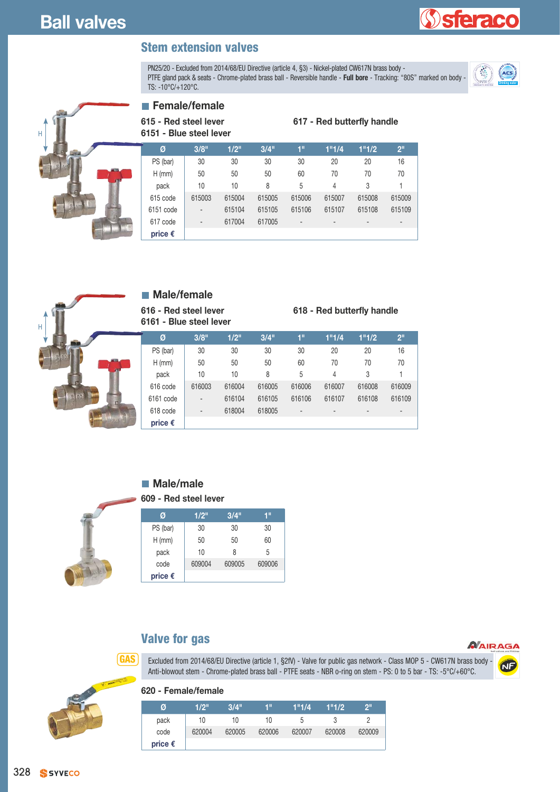## **Stem extension valves**

PN25/20 - Excluded from 2014/68/EU Directive (article 4, §3) - Nickel-plated CW617N brass body -PTFE gland pack & seats - Chrome-plated brass ball - Reversible handle - **Full bore** - Tracking: "80S" marked on body - FINZ9/20 - Excluded from 2014/66/ED Directive (article 4, §3) - Nickel-plated Cw61/N brass body -<br>PTFE gland pack & seats - Chrome-plated brass ball - Reversible handle - **Full bore** - Tracking: "80S" marked on body -



**sferaco** 



|   | <b>Female/female</b> |  |  |
|---|----------------------|--|--|
| . |                      |  |  |

**615 - Red steel lever 6151 - Blue steel lever**

| Ø                | 3/8"                         | $1/2$ " | 3/4"   | 1"                       | 1"1/4                        | 1"1/2                    | 2 <sup>11</sup> |
|------------------|------------------------------|---------|--------|--------------------------|------------------------------|--------------------------|-----------------|
| PS (bar)         | 30                           | 30      | 30     | 30                       | 20                           | 20                       | 16              |
| $H$ (mm)         | 50                           | 50      | 50     | 60                       | 70                           | 70                       | 70              |
| pack             | 10                           | 10      | 8      | 5                        | 4                            | 3                        |                 |
| 615 code         | 615003                       | 615004  | 615005 | 615006                   | 615007                       | 615008                   | 615009          |
| 6151 code        | $\qquad \qquad \blacksquare$ | 615104  | 615105 | 615106                   | 615107                       | 615108                   | 615109          |
| 617 code         | $\qquad \qquad \blacksquare$ | 617004  | 617005 | $\overline{\phantom{a}}$ | $\qquad \qquad \blacksquare$ | $\overline{\phantom{a}}$ | $\overline{a}$  |
| price $\epsilon$ |                              |         |        |                          |                              |                          |                 |



#### **Male/female**

**616 - Red steel lever 6161 - Blue steel lever**

#### **618 - Red butterfly handle**

**617 - Red butterfly handle**

| Ø                | 3/8"   | $1/2$ " | 3/4"   | 1"                           | 1"1/4  | 1"1/2                    | 2 <sup>11</sup>          |
|------------------|--------|---------|--------|------------------------------|--------|--------------------------|--------------------------|
| PS (bar)         | 30     | 30      | 30     | 30                           | 20     | 20                       | 16                       |
| $H$ (mm)         | 50     | 50      | 50     | 60                           | 70     | 70                       | 70                       |
| pack             | 10     | 10      | 8      | 5                            | 4      | 3                        |                          |
| 616 code         | 616003 | 616004  | 616005 | 616006                       | 616007 | 616008                   | 616009                   |
| 6161 code        | -      | 616104  | 616105 | 616106                       | 616107 | 616108                   | 616109                   |
| 618 code         | -      | 618004  | 618005 | $\qquad \qquad \blacksquare$ | -      | $\overline{\phantom{0}}$ | $\overline{\phantom{a}}$ |
| price $\epsilon$ |        |         |        |                              |        |                          |                          |

## **Male/male**

#### **609 - Red steel lever**



## **Valve for gas**

**620 - Female/female**

*NAIRAGA* Excluded from 2014/68/EU Directive (article 1, §2fV) - Valve for public gas network - Class MOP 5 - CW617N brass body Anti-blowout stem - Chrome-plated brass ball - PTFE seats - NBR o-ring on stem - PS: 0 to 5 bar - TS: -5°C/+60°C.

# NE



**GAS**

| Ø                | 1/2"   | 3/4"   | 4 !!   | 1"1/4  | 1"1/2  | 2 <sup>11</sup> |
|------------------|--------|--------|--------|--------|--------|-----------------|
| pack             | 10     | 10     | 10     | b      |        |                 |
| code             | 620004 | 620005 | 620006 | 620007 | 620008 | 620009          |
| price $\epsilon$ |        |        |        |        |        |                 |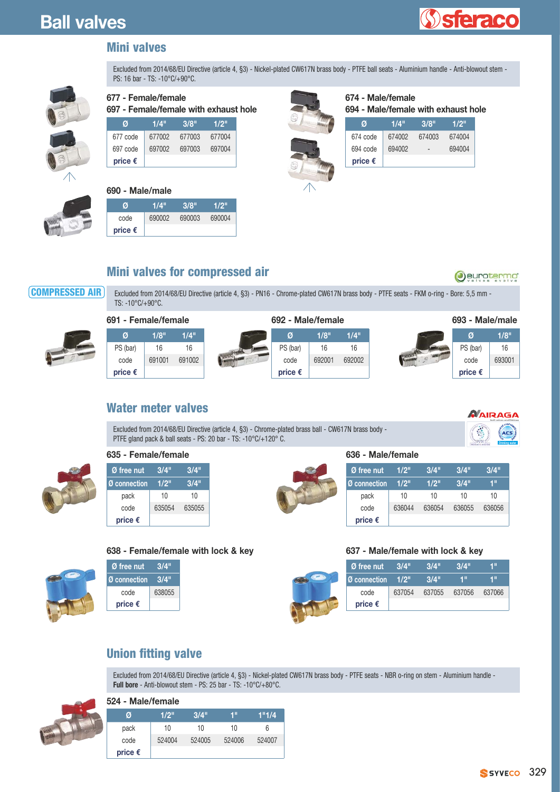

## **Mini valves**

Excluded from 2014/68/EU Directive (article 4, §3) - Nickel-plated CW617N brass body - PTFE ball seats - Aluminium handle - Anti-blowout stem - PS: 16 bar - TS: -10°C/+90°C.



#### **677 - Female/female**

**697 - Female/female with exhaust hole**

| e<br>G |
|--------|
|        |
|        |
|        |

# **Ø 1/4" 3/8" 1/2"**

| 677 code         |        | 677002 677003 | 677004 |
|------------------|--------|---------------|--------|
| 697 code         | 697002 | 697003        | 697004 |
| price $\epsilon$ |        |               |        |

#### **690 - Male/male**

| Ø                | 1/4"   | 3/8"   | 1/2"   |
|------------------|--------|--------|--------|
| code             | 690002 | 690003 | 690004 |
| price $\epsilon$ |        |        |        |

# $\sqrt{N}$

|  | 674 - Male/female                   |
|--|-------------------------------------|
|  | 694 - Male/female with exhaust hole |

| Ø                | 1/4"   | 3/8"   | 1/2"   |
|------------------|--------|--------|--------|
| 674 code         | 674002 | 674003 | 674004 |
| 694 code         | 694002 |        | 694004 |
| price $\epsilon$ |        |        |        |

# **Mini valves for compressed air**

**COMPRESSED AIR**

Excluded from 2014/68/EU Directive (article 4, §3) - PN16 - Chrome-plated CW617N brass body - PTFE seats - FKM o-ring - Bore: 5,5 mm - TS: -10°C/+90°C.



## **Water meter valves**



Oeurotermo

Excluded from 2014/68/EU Directive (article 4, §3) - Chrome-plated brass ball - CW617N brass body - PTFE gland pack & ball seats - PS: 20 bar - TS: -10°C/+120° C.



#### **635 - Female/female**

| Ø free nut       | 3/4"   | 3/4"   |
|------------------|--------|--------|
| ⅠØ connection    | 1/2"   | 3/4"   |
| pack             | 10     | 10     |
| code             | 635054 | 635055 |
| price $\epsilon$ |        |        |

#### **638 - Female/female with lock & key**

| Ø free nut          | 3/4"   |
|---------------------|--------|
| <b>Ø</b> connection | 3/4"   |
| code                | 638055 |
| price $\epsilon$    |        |

#### **636 - Male/female**

| Ø free nut       | 1/2"   | 3/4"   | 3/4"   | 3/4"   |
|------------------|--------|--------|--------|--------|
| Ø connection     | 1/2"   | 1/2"   | 3/4"   | 1"     |
| pack             | 10     | 10     | 10     | 10     |
| code             | 636044 | 636054 | 636055 | 636056 |
| price $\epsilon$ |        |        |        |        |

#### **637 - Male/female with lock & key**

| Ø free nut       | 3/4"    | 3/4"   | 3/4"   | 4 !!   |
|------------------|---------|--------|--------|--------|
| Ø connection     | $1/2$ " | 3/4"   | 4 !!   | 4 !!   |
| code             | 637054  | 637055 | 637056 | 637066 |
| price $\epsilon$ |         |        |        |        |

## **Union fitting valve**

Excluded from 2014/68/EU Directive (article 4, §3) - Nickel-plated CW617N brass body - PTFE seats - NBR o-ring on stem - Aluminium handle - **Full bore** - Anti-blowout stem - PS: 25 bar - TS: -10°C/+80°C.



| 524 - Male/female |  |
|-------------------|--|
|-------------------|--|

| Ø                | 1/2"   | 3/4"   | 1"     | 1"1/4  |
|------------------|--------|--------|--------|--------|
| pack             | 10     | 10     | 10     | 6      |
| code             | 524004 | 524005 | 524006 | 524007 |
| price $\epsilon$ |        |        |        |        |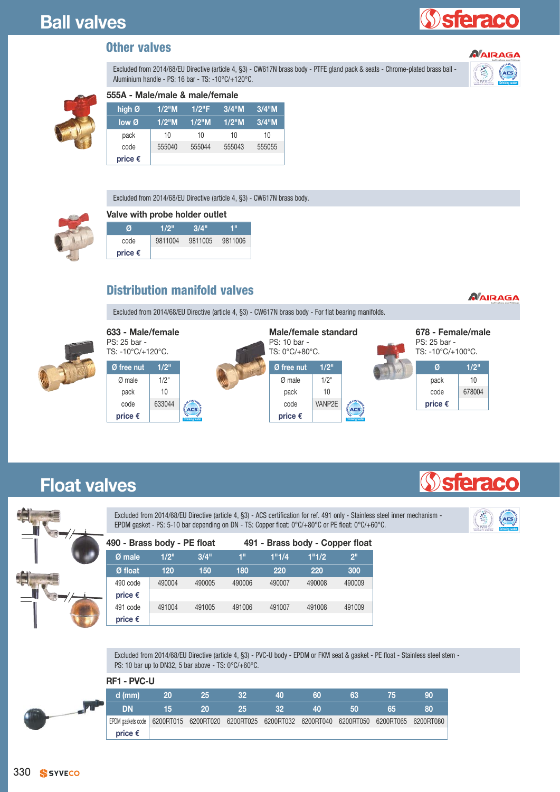# **Sieracc**

#### **Other valves**

Excluded from 2014/68/EU Directive (article 4, §3) - CW617N brass body - PTFE gland pack & seats - Chrome-plated brass ball - Aluminium handle - PS: 16 bar - TS: -10°C/+120°C.



# **555A - Male/male & male/female**

| high Ø           | $1/2$ "M | $1/2$ "F | $3/4$ "M | $3/4$ "M |
|------------------|----------|----------|----------|----------|
| low@             | $1/2$ "M | $1/2$ "M | $1/2$ "M | $3/4$ "M |
| pack             | 10       | 10       | 10       | 10       |
| code             | 555040   | 555044   | 555043   | 555055   |
| price $\epsilon$ |          |          |          |          |

Excluded from 2014/68/EU Directive (article 4, §3) - CW617N brass body.

#### **Valve with probe holder outlet**

| И                | 1/2"    | 3/4"    | 4 II    |
|------------------|---------|---------|---------|
| code             | 9811004 | 9811005 | 9811006 |
| price $\epsilon$ |         |         |         |

# **Distribution manifold valves**

Excluded from 2014/68/EU Directive (article 4, §3) - CW617N brass body - For flat bearing manifolds.



| PS: 25 bar -     | 633 - Male/female<br>TS: -10°C/+120°C.<br>$1/2$ " |                |  |                  | Male/female standard<br>TS: 0°C/+80°C. |                       | 678 - Female/male<br>PS: 25 bar -<br>TS: -10°C/+100°C. |        |  |
|------------------|---------------------------------------------------|----------------|--|------------------|----------------------------------------|-----------------------|--------------------------------------------------------|--------|--|
| Ø free nut       |                                                   |                |  | Ø free nut       | $1/2$ "                                |                       | Ø                                                      | 1/2"   |  |
| $Ø$ male         | $1/2$ "                                           |                |  | Ø male           | $1/2$ "                                |                       | pack                                                   | 10     |  |
| pack             | 10                                                |                |  | pack             | 10                                     |                       | code                                                   | 678004 |  |
| code             | 633044                                            | ACS            |  | code             | VANP2E                                 | ACS                   | price $\epsilon$                                       |        |  |
| price $\epsilon$ |                                                   | Drinking water |  | price $\epsilon$ |                                        | <b>Drinking water</b> |                                                        |        |  |

# **Float valves**

Excluded from 2014/68/EU Directive (article 4, §3) - ACS certification for ref. 491 only - Stainless steel inner mechanism - Excluded from 2014/68/EU Directive (article 4, §3) - ACS certification for ref. 491 only - Stainless steel inner mechanism -<br>EPDM gasket - PS: 5-10 bar depending on DN - TS: Copper float: 0°C/+80°C or PE float: 0°C/+60°C.



**Price** 

| <b>START</b> | $\overline{\phantom{0}}$<br>$\blacktriangledown'$ |
|--------------|---------------------------------------------------|
|              | 7                                                 |

 $\Delta$ 

| 490 - Brass body - PE float  |        |        | 491 - Brass body - Copper float |        |                 |        |  |  |  |
|------------------------------|--------|--------|---------------------------------|--------|-----------------|--------|--|--|--|
| Ø male                       | 1/2"   | 3/4"   | 1"1/4                           | 1"1/2  | 2 <sup>11</sup> |        |  |  |  |
| Ø float                      | 120    | 150    | 180                             | 220    | 220             | 300    |  |  |  |
| 490 code<br>price $\epsilon$ | 490004 | 490005 | 490006                          | 490007 | 490008          | 490009 |  |  |  |
| 491 code<br>price $\epsilon$ | 491004 | 491005 | 491006                          | 491007 | 491008          | 491009 |  |  |  |

Excluded from 2014/68/EU Directive (article 4, §3) - PVC-U body - EPDM or FKM seat & gasket - PE float - Stainless steel stem - PS: 10 bar up to DN32, 5 bar above - TS: 0°C/+60°C.

Ы

| <b>RF1 - PVC-U</b>                                                              |    |    |     |    |    |    |    |    |
|---------------------------------------------------------------------------------|----|----|-----|----|----|----|----|----|
| $d$ (mm)                                                                        | 20 | 25 | 32. | 40 | 60 | 63 | 75 | 90 |
| <b>DN</b>                                                                       | 15 | 20 | 25  | 32 | 40 | 50 | 65 | 80 |
| EPDM gaskets code   6200RT015 6200RT020 6200RT025 6200RT032 6200RT040 6200RT050 |    |    |     |    |    |    |    |    |
| price $\epsilon$                                                                |    |    |     |    |    |    |    |    |



*NAIRAGA*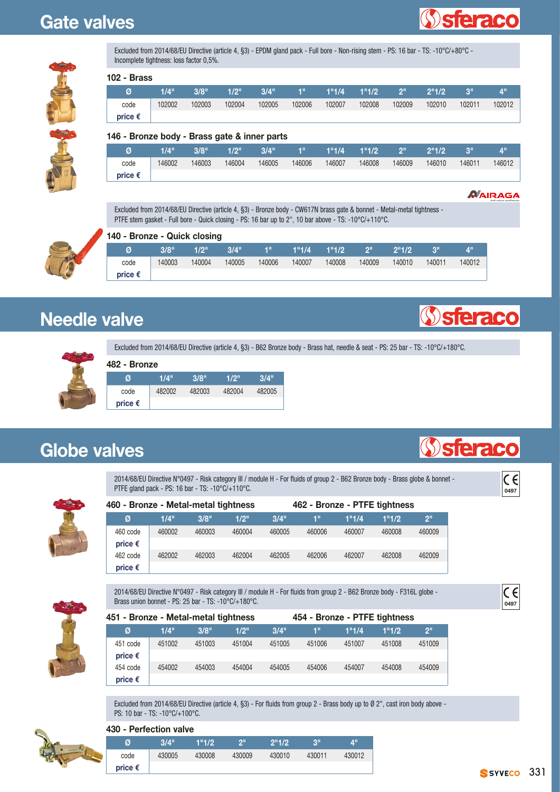# **Gate valves**





| Excluded from 2014/68/EU Directive (article 4, §3) - EPDM gland pack - Full bore - Non-rising stem - PS: 16 bar - TS: -10°C/+80°C - |  |
|-------------------------------------------------------------------------------------------------------------------------------------|--|
| Incomplete tightness: loss factor 0,5%.                                                                                             |  |

| 102 - Brass      |         |        |         |         |                |        |                 |                       |        |        |             |
|------------------|---------|--------|---------|---------|----------------|--------|-----------------|-----------------------|--------|--------|-------------|
| Ø                | $1/4$ " | 3/8"   | $1/2$ " | $3/4$ " | $\blacksquare$ |        | $1"1/4$ $1"1/2$ | $\sim$ 2 <sup>1</sup> | 2"1/2  | - 3"   | $4^{\rm m}$ |
| code             | 102002  | 102003 | 102004  | 102005  | 102006         | 102007 | 102008          | 102009                | 102010 | 102011 | 102012      |
| price $\epsilon$ |         |        |         |         |                |        |                 |                       |        |        |             |



|  | 146 - Bronze body - Brass gate & inner parts |  |  |  |  |  |  |
|--|----------------------------------------------|--|--|--|--|--|--|
|--|----------------------------------------------|--|--|--|--|--|--|

| Ø                | $1/A$ <sup>11</sup> | 3/8"   | 1/2"   | 3/4"   | чш     | 1"1/4  | 1"1/2  | וומ    | 2"1/2  | $\Omega$ | $A^{\text{II}}$ |
|------------------|---------------------|--------|--------|--------|--------|--------|--------|--------|--------|----------|-----------------|
| code             | 146002              | 146003 | 146004 | 146005 | 146006 | 146007 | 146008 | 146009 | 146010 | 146011   | 146012          |
| price $\epsilon$ |                     |        |        |        |        |        |        |        |        |          |                 |

*NAIRAGA* 

Excluded from 2014/68/EU Directive (article 4, §3) - Bronze body - CW617N brass gate & bonnet - Metal-metal tightness - PTFE stem gasket - Full bore - Quick closing - PS: 16 bar up to 2", 10 bar above - TS: -10°C/+110°C.



| 140 - Bronze - Quick closing |  |  |
|------------------------------|--|--|
|------------------------------|--|--|

|                  | 3/8"   | 1/2"   | 3/4"   | ЧЩ     | 1"1/4  | 1"1/2  | $\sum_{i=1}^{n}$ | 2"1/2  | ופ     | 4"     |
|------------------|--------|--------|--------|--------|--------|--------|------------------|--------|--------|--------|
| code             | 140003 | 140004 | 140005 | 140006 | 140007 | 140008 | 140009           | 140010 | 140011 | 140012 |
| price $\epsilon$ |        |        |        |        |        |        |                  |        |        |        |

# **Needle valve**

**482 - Bronze** 

Excluded from 2014/68/EU Directive (article 4, §3) - B62 Bronze body - Brass hat, needle & seat - PS: 25 bar - TS: -10°C/+180°C.



| <b>TULE - DIVILE</b> |        |        |        |        |  |  |  |  |  |  |
|----------------------|--------|--------|--------|--------|--|--|--|--|--|--|
| Ø                    | 1/4"   | 3/8"   | 1/2"   | 3/4"   |  |  |  |  |  |  |
| code                 | 482002 | 482003 | 482004 | 482005 |  |  |  |  |  |  |
| price $\epsilon$     |        |        |        |        |  |  |  |  |  |  |

# **Globe valves**

2014/68/EU Directive N°0497 - Risk category III / module H - For fluids of group 2 - B62 Bronze body - Brass globe & bonnet - 2014/68/EU Directive N°0497 - Risk category III / module H - For fluids of group 2 - B62 Bronze body - Brass globe & bonnet - **CC**<br>PTFE gland pack - PS: 16 bar - TS: -10°C/+110°C.



| 460 - Bronze - Metal-metal tightness |        |        |        |        | 462 - Bronze - PTFE tightness |        |        |                 |
|--------------------------------------|--------|--------|--------|--------|-------------------------------|--------|--------|-----------------|
| Ø                                    | 1/4"   | 3/8"   | 1/2"   | 3/4"   | 1"                            | 1"1/4  | 1"1/2  | 2 <sup>II</sup> |
| 460 code                             | 460002 | 460003 | 460004 | 460005 | 460006                        | 460007 | 460008 | 460009          |
| price $\epsilon$                     |        |        |        |        |                               |        |        |                 |
| 462 code                             | 462002 | 462003 | 462004 | 462005 | 462006                        | 462007 | 462008 | 462009          |
| price $\epsilon$                     |        |        |        |        |                               |        |        |                 |

2014/68/EU Directive N°0497 - Risk category III / module H - For fluids from group 2 - B62 Bronze body - F316L globe - 2014/68/EU Directive N°0497 - Risk category III / module H - For fluids from group 2 - B62 Bronze body - F316L globe -<br>Brass union bonnet - PS: 25 bar - TS: -10°C/+180°C.



Excluded from 2014/68/EU Directive (article 4, §3) - For fluids from group 2 - Brass body up to Ø 2", cast iron body above - PS: 10 bar - TS: -10°C/+100°C.



#### **430 - Perfection valve**

| .                | .      |        |        |        |          |        |
|------------------|--------|--------|--------|--------|----------|--------|
| Ø                | 3/4"   | 1"1/2  | ייפ    | 2"1/2  | $\Omega$ | 4"     |
| code             | 430005 | 430008 | 430009 | 430010 | 430011   | 430012 |
| price $\epsilon$ |        |        |        |        |          |        |



**Sieraco** 

**Sieraco**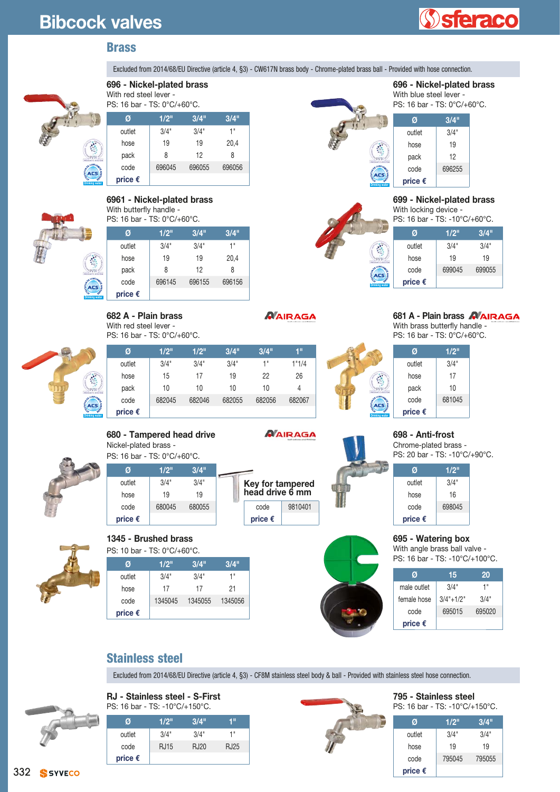# **Bibcock valves**

**Drinking water**

**Drinking water**

# **sferaco**

#### **Brass**

Excluded from 2014/68/EU Directive (article 4, §3) - CW617N brass body - Chrome-plated brass ball - Provided with hose connection.



#### **696 - Nickel-plated brass**  With red steel lever -

PS: 16 bar - TS: 0°C/+60°C.

|    | Ø                | 1/2"   | 3/4"   | 3/4"   |
|----|------------------|--------|--------|--------|
|    | outlet           | 3/4"   | 3/4"   | 1"     |
|    | hose             | 19     | 19     | 20,4   |
| ij | pack             | 8      | 12     | 8      |
|    | code             | 696045 | 696055 | 696056 |
|    | price $\epsilon$ |        |        |        |



#### **6961 - Nickel-plated brass**  With butterfly handle - PS: 16 bar - TS: 0°C/+60°C.

**682 A - Plain brass** With red steel lever -

| Ø                | 1/2"   | 3/4"   | 3/4"   |
|------------------|--------|--------|--------|
| outlet           | 3/4"   | 3/4"   | 1"     |
| hose             | 19     | 19     | 20,4   |
| pack             | 8      | 12     | 8      |
| code             | 696145 | 696155 | 696156 |
| price $\epsilon$ |        |        |        |



| Ø      | 1/2" | 1/2" | 3/4" | 3/4" | 1"    |
|--------|------|------|------|------|-------|
| outlet | 3/4" | 3/4" | 3/4" | 1"   | 1"1/4 |
| hose   | 15   | 17   | 19   | 22   | 26    |
| pack   | 10   | 10   | 10   | 10   | 4     |

code 682045 682046 682055 682056 682067

# **680 - Tampered head drive**

Nickel-plated brass - PS: 16 bar - TS: 0°C/+60°C.



**Drinking water**

**price €**

#### **Ø 1/2" 3/4"** outlet 3/4" 3/4" hose 19 19 code 680045 680055 **price €**



#### *ø*  $\overline{1/2}$ "  $\overline{3/4}$ "  $\overline{3/4}$ "  $\overline{3/4}$ "  $\overline{3/4}$ "  $\overline{3/4}$ "  $\overline{3/4}$ "  $\overline{3/4}$ "  $\overline{3/4}$ "  $\overline{3/4}$ "  $\overline{3/4}$ "  $\overline{3/4}$ "  $\overline{3/4}$ "  $\overline{3/4}$ "  $\overline{3/4}$ "  $\overline{3/4}$ "  $\overline{3/4}$ "  $\overline{3/4}$ " **1345 - Brushed brass**  PS: 10 bar - TS: 0°C/+60°C.

| 17      | 17      | 21      |
|---------|---------|---------|
| 1345045 | 1345055 | 1345056 |
|         |         |         |
|         |         |         |

#### *NAIRAGA*

*NAIRAGA* 







| outlet           | 3/4"   |
|------------------|--------|
| hose             | 16     |
| code             | 698045 |
| price $\epsilon$ |        |

#### **695 - Watering box**

With angle brass ball valve -

| Ø                | 15           | 20     |  |
|------------------|--------------|--------|--|
| male outlet      | 3/4"         | 1"     |  |
| female hose      | $3/4$ "+1/2" | 3/4"   |  |
| code             | 695015       | 695020 |  |
| price $\epsilon$ |              |        |  |

## **Stainless steel**

Excluded from 2014/68/EU Directive (article 4, §3) - CF8M stainless steel body & ball - Provided with stainless steel hose connection.

**RJ - Stainless steel - S-First**

| PS: 16 bar - TS: -10°C/+150°C. |             |      |      |
|--------------------------------|-------------|------|------|
| Ø                              | 1/2"        | 3/4" | 4 !! |
| outlet                         | 3/4"        | 3/4" | 1"   |
| code                           | <b>RJ15</b> | RJ20 | RJ25 |
| price $\epsilon$               |             |      |      |



|  | Stainless steel |  |
|--|-----------------|--|
|  |                 |  |

**795 - Stainless steel**  PS: 16 bar - TS: -10°C/+150°C.

| Ø                | 1/2"   | 3/4"   |
|------------------|--------|--------|
| outlet           | 3/4"   | 3/4"   |
| hose             | 19     | 19     |
| code             | 795045 | 795055 |
| price $\epsilon$ |        |        |

|  | Drinking water |
|--|----------------|
|  |                |
|  |                |
|  |                |

#### **699 - Nickel-plated brass**  With locking device -

**696 - Nickel-plated brass** 

With blue steel lever - PS: 16 bar - TS: 0°C/+60°C. **Ø 3/4"** outlet 3/4" hose  $\vert$  19 pack  $12$ code 696255

**price €** 

PS: 16 bar - TS: -10°C/+60°C.

|                 | Ø                | 1/2"   | 3/4"   |
|-----------------|------------------|--------|--------|
|                 | outlet           | 3/4"   | 3/4"   |
|                 | hose             | 19     | 19     |
| <b>ALBANDTA</b> | code             | 699045 | 699055 |
| er              | price $\epsilon$ |        |        |

With brass butterfly handle - PS: 16 bar - TS: 0°C/+60°C.

**681 A - Plain brass** 

**Ø 1/2"** outlet 3/4" hose  $\vert$  17

**Drinking water** pack  $\vert$  10 code 681045 **price €**

#### **698 - Anti-frost**

Chrome-plated brass - PS: 20 bar - TS: -10°C/+90°C.

**Ø 1/2"**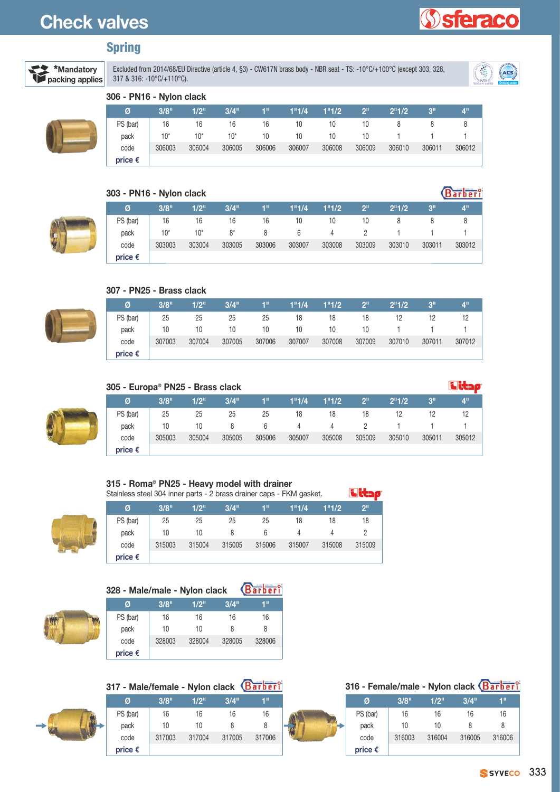# **Check valves**

## **Spring**



Excluded from 2014/68/EU Directive (article 4, §3) - CW617N brass body - NBR seat - TS: -10°C/+100°C (except 303, 328, Excluded from 2014/66/ED Difective (article 4, §3) - GWO F/N Diass Dody - NBR seat - 15: -10°C/+100°C (except 303, 326,<br>317 & 316: -10°C/+110°C).



**Sferaco** 

**Barber**<sup>o</sup>

#### **306 - PN16 - Nylon clack**

| Ø                | 3/8"   | 1/2"   | 3/4"   | 1"     | 1"1/4  | 1"1/2  | 2 <sup>11</sup> | 2"1/2  | 3"     | $4^{\mathrm{th}}$ |
|------------------|--------|--------|--------|--------|--------|--------|-----------------|--------|--------|-------------------|
| PS (bar)         | 16     | 16     | 16     | 16     | 10     | 10     | 10              |        |        |                   |
| pack             | $10*$  | $10*$  | $10*$  | 10     | 10     | 10     | 10              |        |        |                   |
| code             | 306003 | 306004 | 306005 | 306006 | 306007 | 306008 | 306009          | 306010 | 306011 | 306012            |
| price $\epsilon$ |        |        |        |        |        |        |                 |        |        |                   |

#### **303 - PN16 - Nylon clack**



| Ø                | 3/8"   | 1/2"   | 3/4"   | 1"     | 1"1/4  | 1"1/2  | 2 <sup>11</sup> | 2 <sup>n</sup> 1/2 | 3 <sup>''</sup> | <b>A"</b> |
|------------------|--------|--------|--------|--------|--------|--------|-----------------|--------------------|-----------------|-----------|
| PS (bar)         | 16     | 16     | 16     | 16     | 10     | 10     | 10              |                    |                 |           |
| pack             | $10*$  | $10*$  | $8*$   | 8      | 6      | 4      |                 |                    |                 |           |
| code             | 303003 | 303004 | 303005 | 303006 | 303007 | 303008 | 303009          | 303010             | 303011          | 303012    |
| price $\epsilon$ |        |        |        |        |        |        |                 |                    |                 |           |



#### **307 - PN25 - Brass clack**

| Ø                | 3/8"   | 1/2"   | $3/4$ " | 1"     | 1"1/4  | 1"1/2  | $\sqrt{2^{11}}$ | 2"1/2  | 3"     | 4 <sup>11</sup> |
|------------------|--------|--------|---------|--------|--------|--------|-----------------|--------|--------|-----------------|
| PS (bar)         | -25    | -25    | 25      | 25     | 18     | 18     | 18              | 12     | 12     |                 |
| pack             | 10     | 10     | 10      | 10     | 10     | 10     | 10 <sup>1</sup> |        |        |                 |
| code             | 307003 | 307004 | 307005  | 307006 | 307007 | 307008 | 307009          | 307010 | 307011 | 307012          |
| price $\epsilon$ |        |        |         |        |        |        |                 |        |        |                 |



| 305 - Europa <sup>®</sup> PN25 - Brass clack |        |        |         |        |        |        |                 |                    |        |                 |
|----------------------------------------------|--------|--------|---------|--------|--------|--------|-----------------|--------------------|--------|-----------------|
| Ø                                            | 3/8"   | 1/2"   | $3/4$ " | 'n     | 1"1/4  | 1"1/2  | 2 <sup>11</sup> | 2 <sup>n</sup> 1/2 | 3"     | 4 <sup>11</sup> |
| PS (bar)                                     | 25     | 25     | 25      | 25     | 18     | 18     | 18              | 12                 | 12     | 12              |
| pack                                         | 10     | 10     | 8       | 6      | 4      | 4      |                 |                    |        |                 |
| code                                         | 305003 | 305004 | 305005  | 305006 | 305007 | 305008 | 305009          | 305010             | 305011 | 305012          |
| price $\epsilon$                             |        |        |         |        |        |        |                 |                    |        |                 |

مدنات

#### **315 - Roma® PN25 - Heavy model with drainer** Stainless steel 304 inner parts - 2 brass drainer caps - FKM gasket.

| Ø                | 3/8"   | 1/2"   | 3/4"   | ŦП     | 1"1/4  | 1"1/2  | 2 <sup>II</sup> |
|------------------|--------|--------|--------|--------|--------|--------|-----------------|
| PS (bar)         | 25     | 25     | 25     | 25     | 18     | 18     | 18              |
| pack             | 10     | 10     | 8      | 6      | 4      |        |                 |
| code             | 315003 | 315004 | 315005 | 315006 | 315007 | 315008 | 315009          |
| price $\epsilon$ |        |        |        |        |        |        |                 |



| 328 - Male/male - Nylon clack |        |        |        | Barberi |
|-------------------------------|--------|--------|--------|---------|
| Ø                             | 3/8"   | 1/2"   | 3/4"   | 1"      |
| PS (bar)                      | 16     | 16     | 16     | 16      |
| pack                          | 10     | 10     | 8      | 8       |
| code                          | 328003 | 328004 | 328005 | 328006  |
| price $\epsilon$              |        |        |        |         |

**317 - Male/female - Nylon clack**



| 316 - Female/male - Nylon clack Barberi |  |
|-----------------------------------------|--|
|-----------------------------------------|--|

| Ø                | 3/8"   | 1/2"   | 3/4"   | 1"     |
|------------------|--------|--------|--------|--------|
| PS (bar)         | 16     | 16     | 16     | 16     |
| pack             | 10     | 10     | 8      | 8      |
| code             | 316003 | 316004 | 316005 | 316006 |
| price $\epsilon$ |        |        |        |        |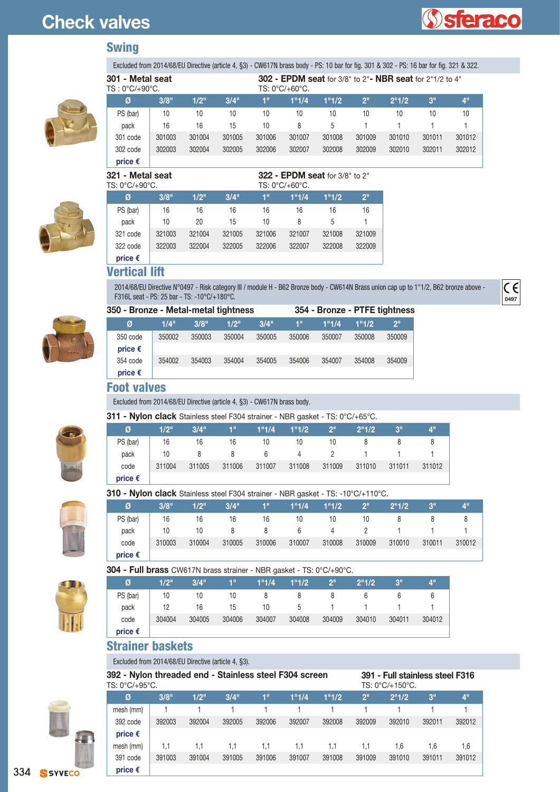# **Check valves**



**0497**

 $\overline{\epsilon}$ 

#### **Swing**



| 301 - Metal seat<br>$TS:0^{\circ}C/+90^{\circ}C$ . |        |        |         |        | <b>302 - EPDM seat for 3/8" to 2" - NBR seat for 2"1/2 to 4"</b><br>$TS: 0^{\circ}C/+60^{\circ}C$ . |        |                 |        |        |        |  |
|----------------------------------------------------|--------|--------|---------|--------|-----------------------------------------------------------------------------------------------------|--------|-----------------|--------|--------|--------|--|
| Ø                                                  | 3/8"   | 1/2"   | $3/4$ " | 1"     | 1"1/4                                                                                               | 1"1/2  | 2 <sup>11</sup> | 2"1/2  | 3"     | 4"     |  |
| PS (bar)                                           | 10     | 10     | 10      | 10     | 10                                                                                                  | 10     | 10              | 10     | 10     | 10     |  |
| pack                                               | 16     | 16     | 15      | 10     | 8                                                                                                   | 5      |                 |        |        |        |  |
| 301 code                                           | 301003 | 301004 | 301005  | 301006 | 301007                                                                                              | 301008 | 301009          | 301010 | 301011 | 301012 |  |
| 302 code                                           | 302003 | 302004 | 302005  | 302006 | 302007                                                                                              | 302008 | 302009          | 302010 | 302011 | 302012 |  |
| price $\epsilon$                                   |        |        |         |        |                                                                                                     |        |                 |        |        |        |  |

Excluded from 2014/68/EU Directive (article 4, §3) - CW617N brass body - PS: 10 bar for fig. 301 & 302 - PS: 16 bar for fig. 321 & 322.



| 321 - Metal seat<br>TS: 0°C/+90°C. |        |        |        | $322$ - EPDM seat for 3/8" to 2"<br>TS: 0°C/+60°C. |        |        |                 |  |  |  |  |
|------------------------------------|--------|--------|--------|----------------------------------------------------|--------|--------|-----------------|--|--|--|--|
| Ø                                  | 3/8"   | 1/2"   | 3/4"   | 1"                                                 | 1"1/4  | 1"1/2  | 2 <sup>II</sup> |  |  |  |  |
| PS (bar)                           | 16     | 16     | 16     | 16                                                 | 16     | 16     | 16              |  |  |  |  |
| pack                               | 10     | 20     | 15     | 10                                                 | 8      | 5      |                 |  |  |  |  |
| 321 code                           | 321003 | 321004 | 321005 | 321006                                             | 321007 | 321008 | 321009          |  |  |  |  |
| 322 code                           | 322003 | 322004 | 322005 | 322006                                             | 322007 | 322008 | 322009          |  |  |  |  |
| price $\epsilon$                   |        |        |        |                                                    |        |        |                 |  |  |  |  |

#### **Vertical lift**

2014/68/EU Directive N°0497 - Risk category III / module H - B62 Bronze body - CW614N Brass union cap up to 1"1/2, B62 bronze above - F316L seat - PS: 25 bar - TS: -10°C/+180°C.



| Ø                | 1/4"   |
|------------------|--------|
| 350 code         | 350002 |
| price $\epsilon$ |        |

| 350 - Bronze - Metal-metal tightness |        |        |        |        | 354 - Bronze - PTFE tightness |        |        |        |  |  |
|--------------------------------------|--------|--------|--------|--------|-------------------------------|--------|--------|--------|--|--|
| Ø                                    | 1/4"   | 3/8"   | 1/2    | 3/4"   | 1"                            | 1"1/4  | 1"1/2  | ייפ    |  |  |
| 350 code                             | 350002 | 350003 | 350004 | 350005 | 350006                        | 350007 | 350008 | 350009 |  |  |
| price €                              |        |        |        |        |                               |        |        |        |  |  |
| 354 code                             | 354002 | 354003 | 354004 | 354005 | 354006                        | 354007 | 354008 | 354009 |  |  |

#### **Foot valves**

**price €**

Excluded from 2014/68/EU Directive (article 4, §3) - CW617N brass body.

#### **311 - Nylon clack** Stainless steel F304 strainer - NBR gasket - TS: 0°C/+65°C.

| <b>UTT - INVIDIT UIGUN</b> OLGITILOSS SLOCIT JUT SITGITICI - INDIT YASKOL - TO. U U/TUJ O. |        |        |        |        |                |                 |        |        |        |
|--------------------------------------------------------------------------------------------|--------|--------|--------|--------|----------------|-----------------|--------|--------|--------|
| Ø                                                                                          | 1/2"   | 3/4"   | 1"     | 1"1/4  | 1"1/2          | 2 <sup>II</sup> | 2"1/2  | 3"     | 4"     |
| PS (bar)                                                                                   | 16     | 16     | 16     | 10     | 10             | 10              |        |        |        |
| pack                                                                                       | 10     | 8      | 8      | -6     | $\overline{4}$ | $\overline{2}$  |        |        |        |
| code                                                                                       | 311004 | 311005 | 311006 | 311007 | 311008         | 311009          | 311010 | 311011 | 311012 |
| price $\epsilon$                                                                           |        |        |        |        |                |                 |        |        |        |



#### **310 - Nylon clack** Stainless steel F304 strainer - NBR gasket - TS: -10°C/+110°C.

| Ø                | 3/8"   | 1/2"   | 3/4"   | 4"     | 1"1/4  | 1"1/2          | 2 <sup>n</sup> | 2"1/2  | 3"     |        |
|------------------|--------|--------|--------|--------|--------|----------------|----------------|--------|--------|--------|
| PS (bar)         | 16     | 16     | 16     | 16     | 10     | 10             | 10             |        |        |        |
| pack             | 10     | 10     | 8      | 8      | 6      | $\overline{4}$ |                |        |        |        |
| code             | 310003 | 310004 | 310005 | 310006 | 310007 | 310008         | 310009         | 310010 | 310011 | 310012 |
| price $\epsilon$ |        |        |        |        |        |                |                |        |        |        |

**304 - Full brass** CW617N brass strainer - NBR gasket - TS: 0°C/+90°C.

| Ø                | 1/2"   | 3/4"   | 48     | 1"1/4  | 1"1/2  | $2^{\mathrm{m}}$ | 2"1/2  | 3 <sup>11</sup> | ΔW     |
|------------------|--------|--------|--------|--------|--------|------------------|--------|-----------------|--------|
| PS (bar)         | 10     | 10     | 10     |        |        |                  | 6      |                 |        |
| pack             | 12     | 16     | 15     | 10     | 5      |                  |        |                 |        |
| code             | 304004 | 304005 | 304006 | 304007 | 304008 | 304009           | 304010 | 304011          | 304012 |
| price $\epsilon$ |        |        |        |        |        |                  |        |                 |        |

#### **Strainer baskets**

#### Excluded from 2014/68/EU Directive (article 4, §3).

| 392 - Nylon threaded end - Stainless steel F304 screen<br>391 - Full stainless steel F316<br>TS: 0°C/+95°C.<br>TS: 0°C/+150°C. |        |        |        |        |        |        |                 |        |        |                 |
|--------------------------------------------------------------------------------------------------------------------------------|--------|--------|--------|--------|--------|--------|-----------------|--------|--------|-----------------|
| Ø                                                                                                                              | 3/8"   | 1/2"   | 3/4"   | 1"     | 1"1/4  | 1"1/2  | 2 <sup>11</sup> | 2"1/2  | 3"     | 4 <sup>11</sup> |
| mesh (mm)                                                                                                                      |        |        |        |        |        |        |                 |        |        |                 |
| 392 code                                                                                                                       | 392003 | 392004 | 392005 | 392006 | 392007 | 392008 | 392009          | 392010 | 392011 | 392012          |
| price $\epsilon$                                                                                                               |        |        |        |        |        |        |                 |        |        |                 |
| mesh (mm)                                                                                                                      | 1.1    | 1.1    | 1.1    | 1.1    | 1.1    | 1.1    | 1.1             | 1.6    | 1.6    | 1.6             |
| 391 code                                                                                                                       | 391003 | 391004 | 391005 | 391006 | 391007 | 391008 | 391009          | 391010 | 391011 | 391012          |
| price $\epsilon$                                                                                                               |        |        |        |        |        |        |                 |        |        |                 |



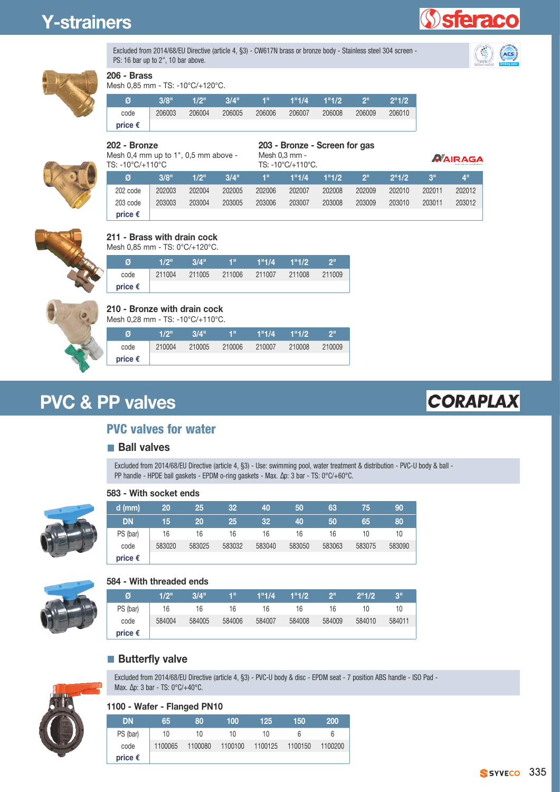# **Y-strainers**





**sterac** 



## **206 - Brass**

Mesh 0,85 mm - TS: -10°C/+120°C.

| Ø                | 3/8"   | 1/2"   | 3/4"   | 48.    | 1"1/4  | 1"1/2  | ااو ا  | 2"1/2  |
|------------------|--------|--------|--------|--------|--------|--------|--------|--------|
| code             | 206003 | 206004 | 206005 | 206006 | 206007 | 206008 | 206009 | 206010 |
| price $\epsilon$ |        |        |        |        |        |        |        |        |

**202 - Bronze** 

**203 - Bronze - Screen for gas**

Mesh 0,4 mm up to 1", 0,5 mm above - TS: -10°C/+110°C

|               | <b>ZUU - DIUILE - JUICEII IUI YA</b> |  |
|---------------|--------------------------------------|--|
| Mesh 0,3 mm - |                                      |  |

*NAIRAGA* 

| Ø                | 3/8"   | 1/2"   | $3/4$ " | <b>M</b> |        | $1"1/4$ $1"1/2$ | $2^{\circ}$ | 2"1/2  | $\sim$ 3" | $\mathcal{A}^{\text{II}}$ |
|------------------|--------|--------|---------|----------|--------|-----------------|-------------|--------|-----------|---------------------------|
| 202 code         | 202003 | 202004 | 202005  | 202006   | 202007 | 202008          | 202009      | 202010 | 202011    | 202012                    |
| 203 code         | 203003 | 203004 | 203005  | 203006   | 203007 | 203008          | 203009      | 203010 | 203011    | 203012                    |
| price $\epsilon$ |        |        |         |          |        |                 |             |        |           |                           |

TS: -10°C/+110°C.



#### **211 - Brass with drain cock**

Mesh 0,85 mm - TS: 0°C/+120°C.

| Ø                | 1/2"   | 3/4" | ИW            | 1"1/4  | 1"1/2  | וופי   |
|------------------|--------|------|---------------|--------|--------|--------|
| code             | 211004 |      | 211005 211006 | 211007 | 211008 | 211009 |
| price $\epsilon$ |        |      |               |        |        |        |



#### **210 - Bronze with drain cock**

Mesh 0,28 mm - TS: -10°C/+110°C.

| Ø                | $1/2$ " | 3/4"   | $4^{\rm H}$ | 1"1/4  | 1"1/2  | ייפו   |
|------------------|---------|--------|-------------|--------|--------|--------|
| code             | 210004  | 210005 | 210006      | 210007 | 210008 | 210009 |
| price $\epsilon$ |         |        |             |        |        |        |

# **PVC & PP valves**

# **CORAPLAX**

## **PVC valves for water**

#### **Ball valves**

Excluded from 2014/68/EU Directive (article 4, §3) - Use: swimming pool, water treatment & distribution - PVC-U body & ball - PP handle - HPDE ball gaskets - EPDM o-ring gaskets - Max. Δp: 3 bar - TS: 0°C/+60°C.



#### **583 - With socket ends**

| $d$ (mm)         | 20     | 25     | 32     | 40     | 50     | 63     | 75     | 90     |
|------------------|--------|--------|--------|--------|--------|--------|--------|--------|
| <b>DN</b>        | 15     | 20     | 25     | 32     | 40     | 50     | 65     | 80     |
| PS (bar)         | 16     | 16     | 16     | 16     | 16     | 16     | 10     | 10     |
| code             | 583020 | 583025 | 583032 | 583040 | 583050 | 583063 | 583075 | 583090 |
| price $\epsilon$ |        |        |        |        |        |        |        |        |



#### **584 - With threaded ends**

| Ø                | 1/2"   | 3/4"   | 411    | 1"1/4  | 1"1/2" | ייפ    | 2"1/2  | 3"     |
|------------------|--------|--------|--------|--------|--------|--------|--------|--------|
| PS (bar)         | 16     | 16     | 16     | 16     | 16     | 16     | 10     | 10     |
| code             | 584004 | 584005 | 584006 | 584007 | 584008 | 584009 | 584010 | 584011 |
| price $\epsilon$ |        |        |        |        |        |        |        |        |

#### **Butterfly valve**



Excluded from 2014/68/EU Directive (article 4, §3) - PVC-U body & disc - EPDM seat - 7 position ABS handle - ISO Pad - Max.  $\Delta p$ : 3 bar - TS: 0°C/+40°C.

#### **1100 - Wafer - Flanged PN10**

| DN               | 65.     | 80      | 100     | 125     | 150     | <b>200</b> |
|------------------|---------|---------|---------|---------|---------|------------|
| PS (bar)         | 10      | 10      | 10      | 10      | h       | 6          |
| code             | 1100065 | 1100080 | 1100100 | 1100125 | 1100150 | 1100200    |
| price $\epsilon$ |         |         |         |         |         |            |